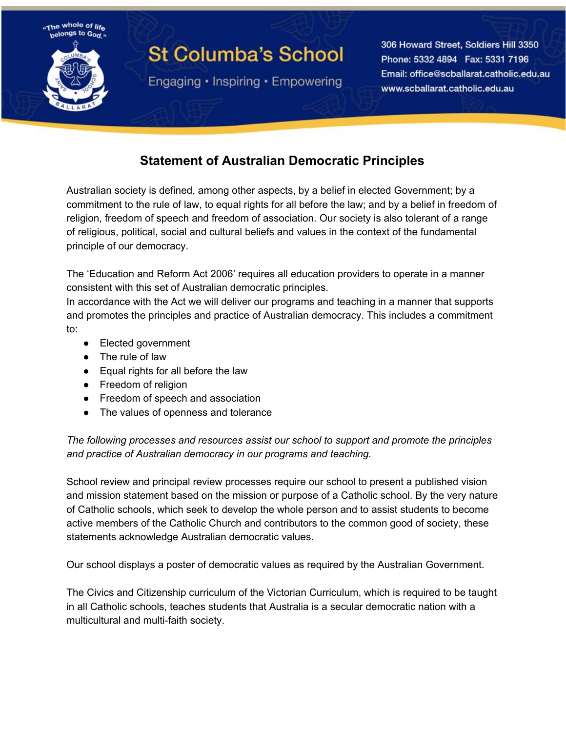

## **St Columba's School**

Engaging • Inspiring • Empowering

306 Howard Street, Soldiers Hill 3350 Phone: 5332 4894 Fax: 5331 7196 Email: office@scballarat.catholic.edu.au www.scballarat.catholic.edu.au

## **Statement of Australian Democratic Principles**

Australian society is defined, among other aspects, by a belief in elected Government; by a commitment to the rule of law, to equal rights for all before the law; and by a belief in freedom of religion, freedom of speech and freedom of association. Our society is also tolerant of a range of religious, political, social and cultural beliefs and values in the context of the fundamental principle of our democracy.

The 'Education and Reform Act 2006' requires all education providers to operate in a manner consistent with this set of Australian democratic principles.

In accordance with the Act we will deliver our programs and teaching in a manner that supports and promotes the principles and practice of Australian democracy. This includes a commitment to:

- Elected government
- The rule of law
- Equal rights for all before the law
- Freedom of religion
- Freedom of speech and association
- The values of openness and tolerance

*The following processes and resources assist our school to support and promote the principles and practice of Australian democracy in our programs and teaching.*

School review and principal review processes require our school to present a published vision and mission statement based on the mission or purpose of a Catholic school. By the very nature of Catholic schools, which seek to develop the whole person and to assist students to become active members of the Catholic Church and contributors to the common good of society, these statements acknowledge Australian democratic values.

Our school displays a poster of democratic values as required by the Australian Government.

The Civics and Citizenship curriculum of the Victorian Curriculum, which is required to be taught in all Catholic schools, teaches students that Australia is a secular democratic nation with a multicultural and multi-faith society.